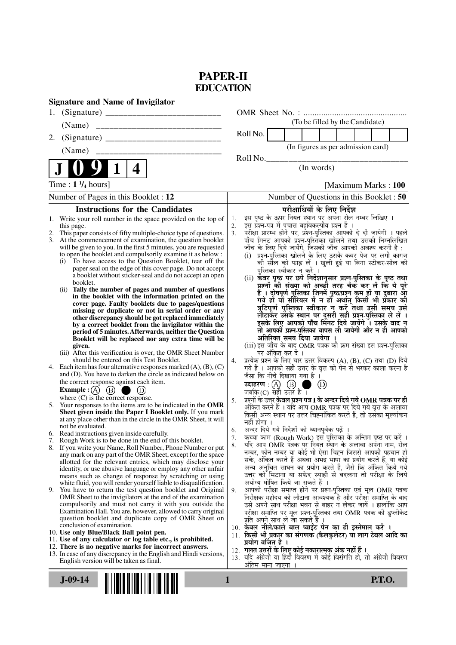# **PAPER-II EDUCATION**

| <b>Signature and Name of Invigilator</b>                                                                                          |                                                                                                                                                |
|-----------------------------------------------------------------------------------------------------------------------------------|------------------------------------------------------------------------------------------------------------------------------------------------|
|                                                                                                                                   |                                                                                                                                                |
| (Name)                                                                                                                            | (To be filled by the Candidate)                                                                                                                |
| 2.                                                                                                                                | Roll No.                                                                                                                                       |
|                                                                                                                                   | (In figures as per admission card)                                                                                                             |
|                                                                                                                                   | Roll No.<br>(In words)                                                                                                                         |
| 1<br>4                                                                                                                            |                                                                                                                                                |
| Time : $1\frac{1}{4}$ hours]                                                                                                      | [Maximum Marks: 100]                                                                                                                           |
| Number of Pages in this Booklet : 12                                                                                              | Number of Questions in this Booklet: 50                                                                                                        |
| <b>Instructions for the Candidates</b>                                                                                            | परीक्षार्थियों के लिए निर्देश                                                                                                                  |
| Write your roll number in the space provided on the top of<br>1.<br>this page.                                                    | इस पृष्ठ के ऊपर नियत स्थान पर अपना रोल नम्बर लिखिए ।<br>1.<br>इस प्रश्न-पत्र में पचास बहुविकल्पीय प्रश्न हैं ।<br>2.                           |
| This paper consists of fifty multiple-choice type of questions.                                                                   | परीक्षा प्रारम्भ होने पर, प्रश्न-पुस्तिका आपको दे दी जायेगी । पहले<br>3.                                                                       |
| 3.<br>At the commencement of examination, the question booklet<br>will be given to you. In the first 5 minutes, you are requested | पाँच मिनट आपको प्रश्न-पुस्तिका खोलने तथा उसकी निम्नलिखित<br>जाँच के लिए दिये जायेंगे, जिसकी जाँच आपको अवश्य करनी है :                          |
| to open the booklet and compulsorily examine it as below :                                                                        | (i) प्रश्न-पुस्तिका खोलने के लिए उसके कवर पेज पर लगी कागज                                                                                      |
| To have access to the Question Booklet, tear off the<br>(i)<br>paper seal on the edge of this cover page. Do not accept           | की सौल को फाड़ लें । खुली हुई या बिना स्टीकर-सील की<br>पुस्तिका स्वीकार न करें ।                                                               |
| a booklet without sticker-seal and do not accept an open                                                                          | (ii) कॅवर पृष्ठ पर छपे निर्देशानुसार प्रश्न-पुस्तिका के पृष्ठ तथा                                                                              |
| booklet.<br>Tally the number of pages and number of questions<br>(i)                                                              | प्रश्नों की संख्या को अच्छी तरह चैक कर लें कि ये पूरे                                                                                          |
| in the booklet with the information printed on the<br>cover page. Faulty booklets due to pages/questions                          | हैं । दोषपूर्ण पुस्तिका जिनमें पृष्ठ/प्रश्न कम हों या दुबारा आ<br>गये हो या सीरियल में न हो अर्थात् किसी भी प्रकार की                          |
| missing or duplicate or not in serial order or any                                                                                | त्रुटिपूर्ण पुस्तिका स्वीकार न करें तथा उसी समय उसे                                                                                            |
| other discrepancy should be got replaced immediately<br>by a correct booklet from the invigilator within the                      | लौटाकर उसके स्थान पर दूसरी सही प्रश्न-पुस्तिका ले लें ।<br>इसके लिए आपको पाँच मिनट दिये जायेंगे । उसके बाद न                                   |
| period of 5 minutes. Afterwards, neither the Question                                                                             | तो आपकी प्रश्न-पुस्तिका वापस ली जायेगी और न ही आपको                                                                                            |
| Booklet will be replaced nor any extra time will be<br>given.                                                                     | अतिरिक्त समय दिया जायेगा ।<br>(iii) इस जाँच के बाद OMR पत्रक की क्रम संख्या इस प्रश्न-पुस्तिका                                                 |
| (iii) After this verification is over, the OMR Sheet Number                                                                       | पर अंकित कर दें ।                                                                                                                              |
| should be entered on this Test Booklet.<br>4. Each item has four alternative responses marked $(A)$ , $(B)$ , $(C)$               | प्रत्येक प्रश्न के लिए चार उत्तर विकल्प (A), (B), (C) तथा (D) दिये<br>4.<br>गये हैं । आपको सही उत्तर के वृत्त को पेन से भरकर काला करना है      |
| and (D). You have to darken the circle as indicated below on                                                                      | जैसा कि नीचे दिखाया गया है।                                                                                                                    |
| the correct response against each item.<br>Example : $(A)$<br>(B)                                                                 | उदाहरण $\,:\!\!\bigodot\,\,\,\,\,(\mathrm{B})$ ्।<br>$\circled{D}$<br>जबकि(C) सही उत्तर है ।                                                   |
| where $(C)$ is the correct response.                                                                                              | प्रश्नों के उत्तर केवल प्रश्न पत्र I के अन्दर दिये गये $\bf OMR$ पत्रक पर ही<br>5.                                                             |
| 5. Your responses to the items are to be indicated in the OMR<br>Sheet given inside the Paper I Booklet only. If you mark         | अंकित करने हैं । यदि आप OMR पत्रक पर दिये गये वृत्त के अलावा<br>किसी अन्य स्थान पर उत्तर चिह्नांकित करते हैं, तो उसका मूल्यांकन                |
| at any place other than in the circle in the OMR Sheet, it will                                                                   | नहीं होगा ।                                                                                                                                    |
| not be evaluated.<br>6. Read instructions given inside carefully.                                                                 | अन्दर दिये गये निर्देशों को ध्यानपूर्वक पढ़ें<br>6.                                                                                            |
| Rough Work is to be done in the end of this booklet.                                                                              | कृत्वा काम (Rough Work) इस पुस्तिका के अन्तिम पृष्ठ पर करें ।<br>7 <sub>1</sub><br>यदि आप OMR पत्रक पर नियत स्थान के अलावा अपना नाम, रोल<br>8. |
| 8. If you write your Name, Roll Number, Phone Number or put<br>any mark on any part of the OMR Sheet, except for the space        | नम्बर, फोन नम्बर या कोई भी ऐसा चिह्न जिससे आपकी पहचान हो                                                                                       |
| allotted for the relevant entries, which may disclose your                                                                        | सके, अंकित करते हैं अथवा अभद्र भाषा का प्रयोग करते हैं, या कोई<br>अन्य अनुचित साधन का प्रयोग करते हैं, जैसे कि अंकित किये गये                  |
| identity, or use abusive language or employ any other unfair<br>means such as change of response by scratching or using           | उत्तर को मिटाना या सफेद स्याही से बदलना तो परीक्षा के लिये                                                                                     |
| white fluid, you will render yourself liable to disqualification.<br>9. You have to return the test question booklet and Original | अयोग्य घोषित किये जा सकते हैं ।                                                                                                                |
| OMR Sheet to the invigilators at the end of the examination                                                                       | आपको परीक्षा समाप्त होने पर प्रश्न-पुस्तिका एवं मूल OMR पत्रक<br>9.<br>निरीक्षक महोदय को लौटाना आवश्यक है और परीक्षा समाप्ति के बाद            |
| compulsorily and must not carry it with you outside the<br>Examination Hall. You are, however, allowed to carry original          | उसे अपने साथ परीक्षा भवन से बाहर न लेकर जायें । हालांकि आप                                                                                     |
| question booklet and duplicate copy of OMR Sheet on                                                                               | परीक्षा समाप्ति पर मूल प्रश्न-पुस्तिका तथा OMR पत्रक की डुप्लीकेट<br>प्रति अपने साथ ले जा सकते हैं ।                                           |
| conclusion of examination.<br>10. Use only Blue/Black Ball point pen.                                                             | 10. केवल नीले/काले बाल प्वाईंट पेन का ही इस्तेमाल करें ।                                                                                       |
| 11. Use of any calculator or log table etc., is prohibited.                                                                       | 11. किसी भी प्रकार का संगणक (कैलकुलेटर) या लाग टेबल आदि का<br>प्रयोग वर्जित है ।                                                               |
| 12. There is no negative marks for incorrect answers.<br>13. In case of any discrepancy in the English and Hindi versions,        | 12. गलत उत्तरों के लिए कोई नकारात्मक अंक नहीं हैं ।                                                                                            |
| English version will be taken as final.                                                                                           | 13. यदि अंग्रेजी या हिंदी विवरण में कोई विसंगति हो, तो अंग्रेजी विवरण<br>अतिम माना जाएगा ।                                                     |
|                                                                                                                                   |                                                                                                                                                |
| $J-09-14$                                                                                                                         | <b>P.T.O.</b><br>1                                                                                                                             |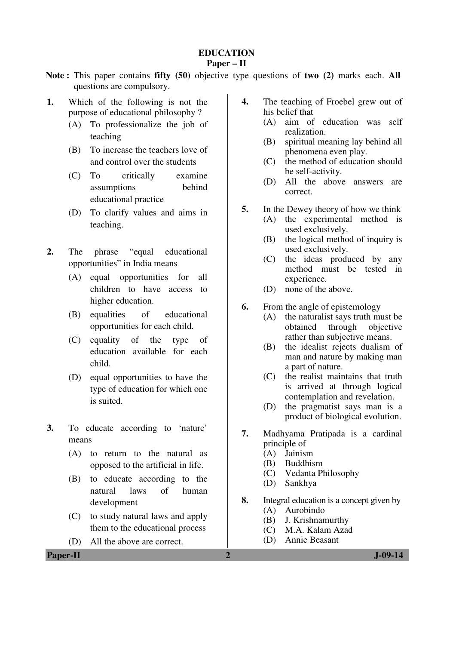## **EDUCATION**

### **Paper – II**

- **Note :** This paper contains **fifty (50)** objective type questions of **two (2)** marks each. **All** questions are compulsory.
- **1.** Which of the following is not the purpose of educational philosophy ?
	- (A) To professionalize the job of teaching
	- (B) To increase the teachers love of and control over the students
	- (C) To critically examine assumptions behind educational practice
	- (D) To clarify values and aims in teaching.
- **2.** The phrase "equal educational opportunities" in India means
	- (A) equal opportunities for all children to have access to higher education.
	- (B) equalities of educational opportunities for each child.
	- (C) equality of the type of education available for each child.
	- (D) equal opportunities to have the type of education for which one is suited.
- **3.** To educate according to 'nature' means
	- (A) to return to the natural as opposed to the artificial in life.
	- (B) to educate according to the natural laws of human development
	- (C) to study natural laws and apply them to the educational process
	- (D) All the above are correct.
- **4.** The teaching of Froebel grew out of his belief that
	- (A) aim of education was self realization.
	- (B) spiritual meaning lay behind all phenomena even play.
	- (C) the method of education should be self-activity.
	- (D) All the above answers are correct.
- **5.** In the Dewey theory of how we think
	- (A) the experimental method is used exclusively.
	- (B) the logical method of inquiry is used exclusively.
	- (C) the ideas produced by any method must be tested in experience.
	- (D) none of the above.
- **6.** From the angle of epistemology
	- (A) the naturalist says truth must be obtained through objective rather than subjective means.
	- (B) the idealist rejects dualism of man and nature by making man a part of nature.
	- (C) the realist maintains that truth is arrived at through logical contemplation and revelation.
	- (D) the pragmatist says man is a product of biological evolution.
- **7.** Madhyama Pratipada is a cardinal principle of
	- (A) Jainism
	- (B) Buddhism
	- (C) Vedanta Philosophy
	- (D) Sankhya
- **8.** Integral education is a concept given by (A) Aurobindo
	- (B) J. Krishnamurthy
	- (C) M.A. Kalam Azad
	- (D) Annie Beasant

**Paper-II 2 J-09-14**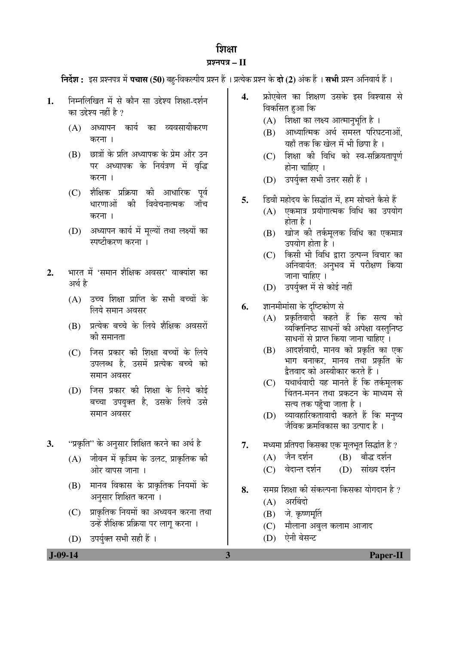# छिाक

# ¯ÖÏ¿®Ö¯Ö¡Ö **– II**

**निर्देश :** इस प्रश्नपत्र में **पचास (50)** बह-विकल्पीय प्रश्न हैं । प्रत्येक प्रश्न के **दो (2)** अंक हैं । **सभी** प्रश्न अनिवार्य हैं ।

- 1. निम्नलिखित में से कौन सा उद्देश्य शिक्षा-दर्शन का उद्देश्य नहीं है ?
	- (A) अध्यापन कार्य का व्यवसायीकरण करना ।
	- (B) "छात्रों के प्रति अध्यापक के प्रेम और उन पर अध्यापक के नियंत्रण में वृद्धि करना ।
	- (C) शैक्षिक प्रक्रिया की आधारिक पूर्व धारणाओं की विवेचनात्मक जाँच करना ।
	- (D) अध्यापन कार्य में मल्यों तथा लक्ष्यों का स्पष्टीकरण करना ।
- 2. भारत में 'समान शैक्षिक अवसर' वाक्यांश का अर्थ है
	- $(A)$  उच्च शिक्षा प्राप्ति के सभी बच्चों के <u>लिये समान अवसर</u>
	- (B) प्रत्येक बच्चे के लिये शैक्षिक अवसरों को समानता
	- (C) जिस प्रकार की शिक्षा बच्चों के लिये उपलब्ध है, उसमें प्रत्येक बच्चे को समान अवसर
	- (D) जिस प्रकार की शिक्षा के लिये कोई बच्चा उपयुक्त है, उसके लिये उसे समान अवसर
- **3.** "प्रकृति" के अनुसार शिक्षित करने का अर्थ है
	- (A) जीवन में कृत्रिम के उलट, प्राकृतिक की ओर वापस जाना ।
	- (B) मानव विकास के प्राकृतिक नियमों के अनुसार शिक्षित करना ।
	- $(C)$  प्राकृतिक नियमों का अध्ययन करना तथा उन्हें शैक्षिक प्रक्रिया पर लागू करना ।
	- (D) उपर्युक्त सभी सही हैं।
- 4. फ्रोएबेल का शिक्षण उसके इस विश्वास से विकसित हुआ कि
	- $(A)$  शिक्षा का लक्ष्य आत्मानुभूति है।
	- $(B)$  आध्यात्मिक अर्थ समस्त परिघटनाओं. यहाँ तक कि खेल में भी छिपा है ।
	- (C) शिक्षा की विधि को स्व-सक्रियतापूर्ण होना चाहिए ।
	- (D) उपर्युक्त सभी उत्तर सही हैं ।
- 5. डिवी महोदय के सिद्धांत में. हम सोचते कैसे हैं
	- $(A)$  एकमात्र प्रयोगात्मक विधि का उपयोग होता है ।
	- (B) खोज की तर्कमलक विधि का एकमात्र उपयोग होता है ।
	- (C) किसी भी विधि द्वारा उत्पन्न विचार का अनिवार्यत: अनुभव में परीक्षण किया जाना चाहिए ।
	- (D) उपर्युक्त में से कोई नहीं
- **6.** ज्ञानमीमांसा के दृष्टिकोण से
	- (A) प्रकृतिवादी कहते हैं कि सत्य को व्यक्तिनिष्ठ साधनों की अपेक्षा वस्तुनिष्ठ साधनों से प्राप्त किया जाना चाहिए ।
	- $(B)$  आदर्शवादी, मानव को प्रकृति का एक भाग बनाकर, मानव तथा प्रकृति के <u>द्वै</u>तवाद को अस्वीकार करते हैं ।
	- (C) यथार्थवादी यह मानते हैं कि तर्कमलक चिंतन-मनन तथा प्रकटन के माध्यम से सत्य तक पहुँचा जाता है ।
	- (D) व्यावहारिकतावादी कहते हैं कि मनुष्य .<br>जैविक कमविकास का उत्पाद है ।
- **7.** मध्यमा प्रतिपदा किसका एक मूलभूत सिद्धांत है ?
	- $(A)$  जैन दर्शन  $(B)$  बौद्ध दर्शन
	- (C) वेदान्त दर्शन (D) सांख्य दर्शन
- 8. समग्र शिक्षा की संकल्पना किसका योगदान है ?
	- (A) अरबिंदो
	- $(B)$  जे. कृष्णमूर्ति
	- (C) मौलाना अबुल कलाम आजाद
	- (D) ऐनी बेसन्ट

 **J-09-14 3 Paper-II**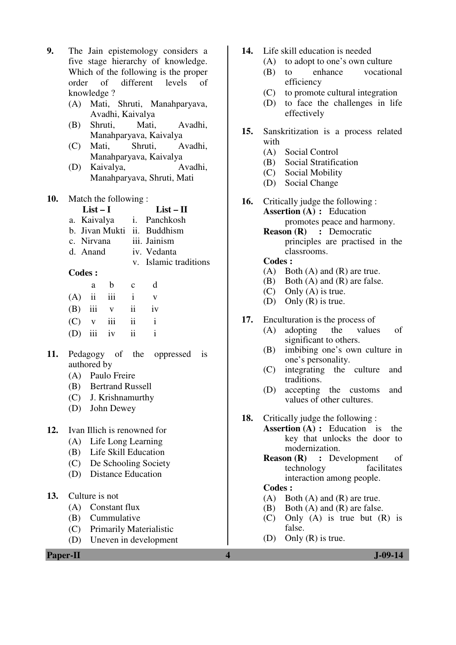**9.** The Jain epistemology considers a five stage hierarchy of knowledge. Which of the following is the proper order of different levels of knowledge ?

- (A) Mati, Shruti, Manahparyava, Avadhi, Kaivalya
- (B) Shruti, Mati, Avadhi, Manahparyava, Kaivalya
- (C) Mati, Shruti, Avadhi, Manahparyava, Kaivalya
- (D) Kaivalya, Avadhi, Manahparyava, Shruti, Mati
- **10.** Match the following :<br> $List-I$

 $List - II$ 

- a. Kaivalya i. Panchkosh
- b. Jivan Mukti ii. Buddhism
- c. Nirvana iii. Jainism
- d. Anand iv. Vedanta
	- v. Islamic traditions

#### **Codes :**

| a - | b               | $\mathbf{c}$     | d            |
|-----|-----------------|------------------|--------------|
|     | $(A)$ ii iii i  |                  | V            |
|     |                 | $(B)$ iii $v$ ii | iv           |
|     | $(C)$ v iii ii  |                  | $\mathbf{i}$ |
|     | $(D)$ iii iv ii |                  | $\mathbf{i}$ |

- **11.** Pedagogy of the oppressed is authored by
	- (A) Paulo Freire
	- (B) Bertrand Russell
	- (C) J. Krishnamurthy
	- (D) John Dewey

#### **12.** Ivan Illich is renowned for

- (A) Life Long Learning
- (B) Life Skill Education
- (C) De Schooling Society
- (D) Distance Education

#### **13.** Culture is not

- (A) Constant flux
- (B) Cummulative
- (C) Primarily Materialistic
- (D) Uneven in development

**Paper-II 4 J-09-14**

- **14.** Life skill education is needed
	- (A) to adopt to one's own culture
	- (B) to enhance vocational efficiency
	- (C) to promote cultural integration
	- (D) to face the challenges in life effectively
- **15.** Sanskritization is a process related with
	- (A) Social Control
	- (B) Social Stratification
	- (C) Social Mobility
	- (D) Social Change
- **16.** Critically judge the following :  **Assertion (A) :** Education promotes peace and harmony.  **Reason (R) :** Democratic
	- principles are practised in the classrooms.

#### **Codes :**

- (A) Both (A) and (R) are true.
- (B) Both (A) and (R) are false.
- (C) Only (A) is true.
- (D) Only (R) is true.
- **17.** Enculturation is the process of
	- (A) adopting the values of significant to others.
	- (B) imbibing one's own culture in one's personality.
	- (C) integrating the culture and traditions.
	- (D) accepting the customs and values of other cultures.
- **18.** Critically judge the following :
	- **Assertion (A) :** Education is the key that unlocks the door to modernization.
		- **Reason (R) :** Development of technology facilitates interaction among people.

#### **Codes :**

- (A) Both (A) and (R) are true.
- (B) Both (A) and (R) are false.
- (C) Only (A) is true but (R) is false.
- (D) Only (R) is true.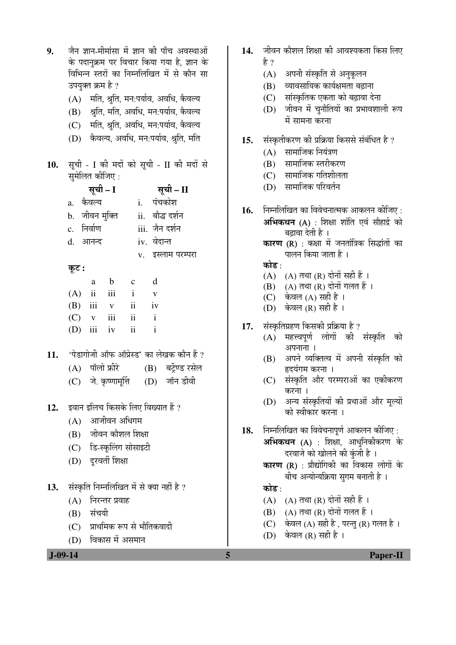| 9.  | जैन ज्ञान-मीमांसा में ज्ञान की पाँच अवस्थाओं<br>के पदानुक्रम पर विचार किया गया है, ज्ञान के | 14. | जीवन कौशल शिक्षा की आवश्यकता किस लिए<br>है ?             |
|-----|---------------------------------------------------------------------------------------------|-----|----------------------------------------------------------|
|     | विभिन्न स्तरों का निम्नलिखित में से कौन सा                                                  |     | अपनी संस्कृति से अनुकूलन<br>(A)                          |
|     | उपयुक्त क्रम है ?                                                                           |     | व्यावसायिक कार्यक्षमता बढ़ाना<br>(B)                     |
|     | मति, श्रुति, मन:पर्याव, अवधि, कैवल्य<br>(A)                                                 |     | सांस्कृतिक एकता को बढ़ावा देना<br>(C)                    |
|     | श्रुति, मति, अवधि, मन:पर्याव, कैवल्य<br>(B)                                                 |     | जीवन में चुनौतियों का प्रभावशाली रूप<br>(D)              |
|     | मति, श्रुति, अवधि, मन:पर्याव, कैवल्य<br>(C)                                                 |     | में सामना करना                                           |
|     | कैवल्य, अवधि, मन:पर्याव, श्रुति, मति<br>(D)                                                 | 15. | संस्कृतीकरण की प्रक्रिया किससे संबंधित है ?              |
|     |                                                                                             |     | सामाजिक नियंत्रण<br>(A)                                  |
| 10. | सूची - I की मदों को सूची - II की मदों से                                                    |     | (B) सामाजिक स्तरीकरण                                     |
|     | सुमेलित कीजिए :                                                                             |     | $(C)$ सामाजिक गतिशीलता                                   |
|     | सूची – I<br>सूची – II                                                                       |     | (D) सामाजिक परिवर्तन                                     |
|     | i. पंचकोश<br>a. कैवल्य                                                                      | 16. | निम्नलिखित का विवेचनात्मक आकलन कीजिए :                   |
|     | जीवन मुक्ति       ii.   बौद्ध दर्शन<br>$\mathbf{b}$ .                                       |     | अभिकथन (A) : शिक्षा शांति एवं सौहार्द्र को               |
|     | निर्वाण<br>iii. जैन दर्शन<br>$\mathbf{c}$ .                                                 |     | बढ़ावा देती है ।                                         |
|     | iv. वेदान्त<br>आनन्द<br>d.                                                                  |     | <b>कारण (R)</b> : कक्षा में जनतांत्रिक सिद्धांतों का     |
|     | v. इस्लाम परम्परा                                                                           |     | पालन किया जाता है ।                                      |
|     | कूट :                                                                                       |     | कोड :<br>$(A)$ $(A)$ तथा $(R)$ दोनों सही हैं ।           |
|     | $\mathbf b$<br>d<br>$\mathbf{C}$<br>a                                                       |     | (B) (A) तथा (R) दोनों गलत हैं ।                          |
|     | iii<br>$\mathbf{i}$<br>(A)<br>$\overline{\mathbf{u}}$<br>$\mathbf V$                        |     | $(C)$ केवल $(A)$ सही है ।                                |
|     | ii<br>(B)<br>iii<br>iv<br>$\mathbf{V}$                                                      |     | $(D)$ केवल $(R)$ सही है ।                                |
|     | iii<br>ii<br>(C)<br>$\mathbf{i}$<br>V<br>ii<br>$\mathbf{i}$                                 | 17. | संस्कृतिग्रहण किसकी प्रक्रिया है ?                       |
|     | (D)<br>iii<br>iv                                                                            |     | महत्त्वपूर्ण लोगों की संस्कृति को<br>(A)                 |
| 11. | 'पेडागोजी ऑफ ऑप्रेस्ड' का लेखक कौन हैं ?                                                    |     | अपनाना ।                                                 |
|     | पॉलो फ्रीरे<br>(B) बर्ट्रेण्ड रसेल<br>(A)                                                   |     | अपने व्यक्तित्व में अपनी संस्कृति को<br>(B)              |
|     | (C) जे. कृष्णामूर्त्ति (D) जॉन डीवी                                                         |     | हृदयंगम करना ।<br>संस्कृति और परम्पराओं का एकीकरण<br>(C) |
|     |                                                                                             |     | करना ।                                                   |
| 12. | इवान इलिच किसके लिए विख्यात हैं ?                                                           |     | अन्य संस्कृतियों की प्रथाओं और मूल्यों<br>(D)            |
|     | आजीवन अधिगम<br>(A)                                                                          |     | को स्वीकार करना ।                                        |
|     | (B) जीवन कौशल शिक्षा                                                                        | 18. | निम्नलिखित का विवेचनापूर्ण आकलन कीजिए :                  |
|     | (C) डि-स्कूलिंग सोसाइटी                                                                     |     | <b>अभिकथन (A)</b> : शिक्षा, आधुनिकीकरण के                |
|     | (D) दूरवर्ती शिक्षा                                                                         |     | दरवाजे को खोलने की कुंजी है।                             |
|     |                                                                                             |     | <b>कारण (R)</b> : प्रौद्योगिकी का विकास लोगों के         |
| 13. | संस्कृति निम्नलिखित में से क्या नहीं है ?                                                   |     | बीच अन्योन्यक्रिया सुगम बनाती है ।<br>कोड∶               |
|     | निरन्तर प्रवाह<br>(A)                                                                       |     | (A) (A) तथा (R) दोनों सही हैं ।                          |
|     | संचयी<br>(B)                                                                                |     | (B) (A) तथा (R) दोनों गलत हैं ।                          |
|     | (C) प्राथमिक रूप से भौतिकवादी                                                               |     | (C) केवल (A) सही है , परन्तु (R) गलत है ।                |
|     | (D) विकास में असमान                                                                         |     | (D) केवल (R) सही है ।                                    |
|     | $J-09-14$                                                                                   | 5   | <b>Paper-II</b>                                          |
|     |                                                                                             |     |                                                          |

- <del>1</del> की आवश्यकता किस लिए
	- $\bar{\mathsf{n}}$ ति से अनुकूलन
	- , कार्यक्षमता बढ़ाना
	- एकता को बढ़ावा देना
	- .<br>वुनौतियों का प्रभावशाली रूप हरना
- **15.** ÃÖÓÃÛéúŸÖßÛú¸üÞÖ Ûúß ¯ÖÏ×ÛÎúµÖÖ ×ÛúÃÖÃÖê ÃÖÓ²ÖÓ×¬ÖŸÖ Æîü ?
	- नेयंत्रण
	- स्तरीकरण
	- ातिशीलता
	- गरिवर्तन
- .<br>वेचनात्मक आकलन कीजिए : <u>शिक्षा शांति एवं सौहार्द्र को</u> है ।

- R) दोनों सही हैं ।
- $\widetilde{\text{R}}$ ) दोनों गलत हैं ।
- सही है $\perp$
- सही है ।
- 17. संस्कृतिग्रहण किसकी प्रक्रिया है ?
- $\rm (A)$  महत्त्वपूर्ण लोगों की संस्कृति को
	- स्तत्व में अपनी संस्कृति को रना ।
	- ,<br>गौर परम्पराओं का एकीकरण
	- तियों की प्रथाओं और मूल्यो<mark>ं</mark> ेकरना ।

```
.<br>वेचनापूर्ण आकलन कीजिए :
 िशक्षा, आधुनिकीकरण के
खोलने की कुंजी है ।
```
- R) दोनों सही हैं ।
- R) दोनों गलत हैं ।
- सही है , परन्तु (R) गलत है ।
- सही है ।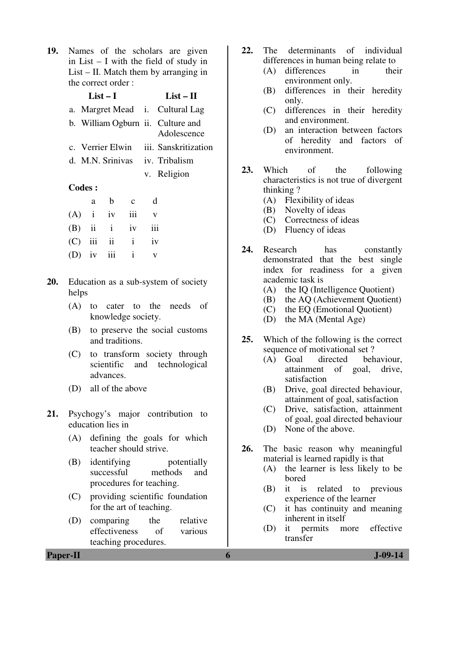**19.** Names of the scholars are given in List – I with the field of study in List – II. Match them by arranging in the correct order :

| $List-I$                              | $List-II$   |
|---------------------------------------|-------------|
| a. Margret Mead i. Cultural Lag       |             |
| b. William Ogburn ii. Culture and     | Adolescence |
| c. Verrier Elwin iii. Sanskritization |             |
| d. M.N. Srinivas iv. Tribalism        |             |
|                                       | v. Religion |

#### **Codes :**

|  | a b c                 | d |
|--|-----------------------|---|
|  | $(A)$ i iv iii v      |   |
|  | $(B)$ ii i iv iii     |   |
|  | $(C)$ iii ii i iv     |   |
|  | (D) iv iii $i \vee v$ |   |

- **20.** Education as a sub-system of society helps
	- (A) to cater to the needs of knowledge society.
	- (B) to preserve the social customs and traditions.
	- (C) to transform society through scientific and technological advances.
	- (D) all of the above
- **21.** Psychogy's major contribution to education lies in
	- (A) defining the goals for which teacher should strive.
	- (B) identifying potentially successful methods and procedures for teaching.
	- (C) providing scientific foundation for the art of teaching.
	- (D) comparing the relative effectiveness of various teaching procedures.
- **22.** The determinants of individual differences in human being relate to
	- (A) differences in their environment only.
	- (B) differences in their heredity only.
	- (C) differences in their heredity and environment.
	- (D) an interaction between factors of heredity and factors of environment.
- **23.** Which of the following characteristics is not true of divergent thinking ?
	- (A) Flexibility of ideas
	- (B) Novelty of ideas
	- (C) Correctness of ideas
	- (D) Fluency of ideas
- **24.** Research has constantly demonstrated that the best single index for readiness for a given academic task is
	- (A) the IQ (Intelligence Quotient)
	- (B) the AQ (Achievement Quotient)
	- (C) the EQ (Emotional Quotient)
	- (D) the MA (Mental Age)
- **25.** Which of the following is the correct sequence of motivational set?
	- (A) Goal directed behaviour, attainment of goal, drive, satisfaction
	- (B) Drive, goal directed behaviour, attainment of goal, satisfaction
	- (C) Drive, satisfaction, attainment of goal, goal directed behaviour
	- (D) None of the above.
- **26.** The basic reason why meaningful material is learned rapidly is that
	- (A) the learner is less likely to be bored
	- (B) it is related to previous experience of the learner
	- (C) it has continuity and meaning inherent in itself
	- (D) it permits more effective transfer

**Paper-II 6 J-09-14**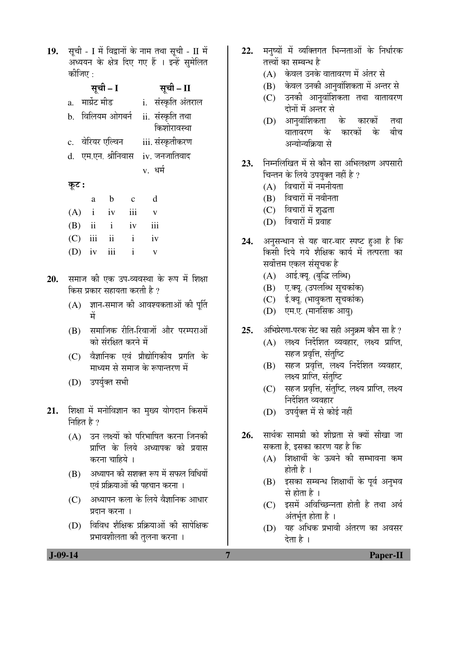19. सूची - I में विद्वानों के नाम तथा सूची - II में अध्ययन के क्षेत्र दिए गए हैं । इन्हें सुमेलित कीजिए $\cdot$ 

|             | सूची – I            | सूची – II                       |
|-------------|---------------------|---------------------------------|
| $a_{\cdot}$ | मार्ग्रेट मीड       | i. संस्कृति अंतराल              |
|             | b. विलियम ओगबर्न    | ii. संस्कृति तथा<br>किशोरावस्था |
|             | c. वेरियर एल्विन    | iii. संस्कृतीकरण                |
|             | d. एम.एन. श्रीनिवास | $iv.$ जनजातिवाद                 |
|             |                     | v. धर्म                         |

#### कूट :

|              |                | a b c             | d            |
|--------------|----------------|-------------------|--------------|
|              | $(A)$ i iv iii |                   | $\mathbf{V}$ |
|              |                | $(B)$ ii i iv iii |              |
| $(C)$ iii ii |                | $i$ iv            |              |
|              | $(D)$ iv iii i |                   | $\mathbf{V}$ |

- 20. समाज की एक उप-व्यवस्था के रूप में शिक्षा किस प्रकार सहायता करती है ?
	- $(A)$  ज्ञान-समाज की आवश्यकताओं की पुर्ति ´Öë
	- (B) समाजिक रीति-रिवाजों और परम्पराओं को संरक्षित करने में
	- (C) वैज्ञानिक एवं प्रौद्योगिकीय प्रगति के <u>माध्यम से समाज के रूपान्तरण में</u>
	- (D) उपर्युक्त सभी
- 21. शिक्षा में मनोविज्ञान का मुख्य योगदान किसमें निहित है $\,$ ?
	- $(A)$  उन लक्ष्यों को परिभाषित करना जिनकी प्राप्ति के लिये अध्यापक को प्रयास करना चाहिये ।
	- $(B)$  अध्यापन की सशक्त रूप में सफल विधियों एवं प्रक्रियाओं की पहचान करना ।
	- (C) अध्यापन कला के लिये वैज्ञानिक आधार प्रदान करना ।
	- $(D)$  विविध शैक्षिक प्रक्रियाओं की सापेक्षिक प्रभावशीलता की तुलना करना ।
- 22. मनुष्यों में व्यक्तिगत भिन्नताओं के निर्धारक तत्त्वों का सम्बन्ध है
	- $(A)$  केवल उनके वातावरण में अंतर से
	- $(B)$  केवल उनकी आनुवांशिकता में अन्तर से
	- (C) उनकी आनुवांशिकता तथा वातावरण दोनों में अन्तर से
	- (D) आनुवांशिकता के कारकों तथा वातावरण के कारकों के बीच अन्योन्यकिया से
- 23. FEHR TER ATH ATH ATH ATH ATH ATH चिन्तन के लिये उपयुक्त नहीं है ?
	- $(A)$  विचारों में नमनीयता
	- $(B)$  विचारों में नवीनता
	- (C) विचारों में शुद्धता
	- (D) विचारों में प्रवाह
- 24. अनुसन्धान से यह बार-बार स्पष्ट हुआ है कि किसी दिये गये शैक्षिक कार्य में तत्परता का सर्वोत्तम एकल संसचक है
	- (A) आई.क्यू. (बुद्धि लब्धि)
	- (B) ए.क्यू. (उपलब्धि सूचकांक)
	- (C) ई.क्यू. (भावुकता सूचकांक)
	- (D) एम.ए. (मानसिक आयु)
- 25. अभिप्रेरणा-परक सेट का सही अनुक्रम कौन सा है ?
	- $(A)$  लक्ष्य निर्देशित व्यवहार, लक्ष्य प्राप्ति, सहज प्रवृत्ति, संतुष्टि
	- (B) सहज प्रवृत्ति, लक्ष्य निर्देशित व्यवहार, लक्ष्य प्राप्ति, संतुष्टि
	- (C) सहज प्रवृत्ति, संतुष्टि, लक्ष्य प्राप्ति, लक्ष्य <u>निर्देशित व्यवहार</u>
	- (D) उपर्युक्त में से कोई नहीं
- 26. सार्थक सामग्री को शीघ्रता से क्यों सीखा जा सकता है, इसका कारण यह है कि
	- $(A)$  शिक्षार्थी के ऊबने की सम्भावना कम होती है ।
	- (B) इसका सम्बन्ध शिक्षार्थी के पूर्व अनुभव से होता है ।
	- $(C)$  इसमें अविच्छिन्नता होती है तथा अर्थ अंतर्भुत होता है ।
	- (D) यह अधिक प्रभावी अंतरण का अवसर देता है ।

 **J-09-14 7 Paper-II**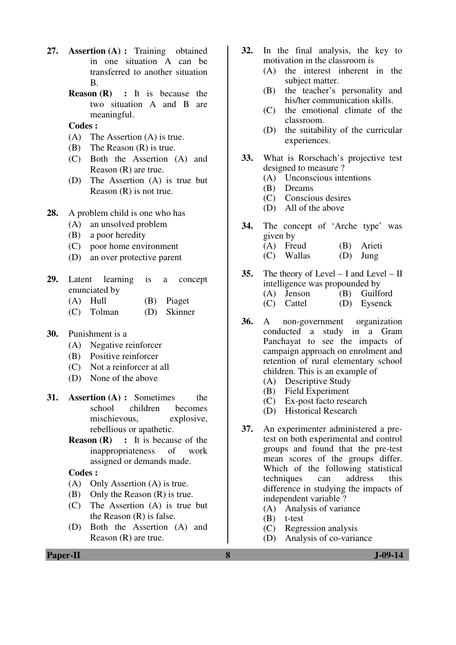- **27. Assertion (A) :** Training obtained in one situation A can be transferred to another situation B.
	- **Reason (R) :** It is because the two situation A and B are meaningful.

#### **Codes :**

- (A) The Assertion (A) is true.
- (B) The Reason (R) is true.
- (C) Both the Assertion (A) and Reason (R) are true.
- (D) The Assertion (A) is true but Reason (R) is not true.
- **28.** A problem child is one who has
	- (A) an unsolved problem
	- (B) a poor heredity
	- (C) poor home environment
	- (D) an over protective parent
- **29.** Latent learning is a concept enunciated by
	- (A) Hull (B) Piaget
	- (C) Tolman (D) Skinner
- **30.** Punishment is a
	- (A) Negative reinforcer
	- (B) Positive reinforcer
	- (C) Not a reinforcer at all
	- (D) None of the above
- **31. Assertion (A) :** Sometimes the school children becomes mischievous, explosive, rebellious or apathetic.
	- **Reason (R)** : It is because of the inappropriateness of work assigned or demands made.

#### **Codes :**

- (A) Only Assertion (A) is true.
- (B) Only the Reason (R) is true.
- (C) The Assertion (A) is true but the Reason (R) is false.
- (D) Both the Assertion (A) and Reason (R) are true.
- **32.** In the final analysis, the key to motivation in the classroom is
	- (A) the interest inherent in the subject matter.
	- (B) the teacher's personality and his/her communication skills.
	- (C) the emotional climate of the classroom.
	- (D) the suitability of the curricular experiences.
- **33.** What is Rorschach's projective test designed to measure ?
	- (A) Unconscious intentions
	- (B) Dreams
	- (C) Conscious desires
	- (D) All of the above
- **34.** The concept of 'Arche type' was given by (A) Freud (B) Arieti
	- (C) Wallas (D) Jung
- **35.** The theory of Level I and Level II intelligence was propounded by (A) Jenson (B) Guilford (C) Cattel (D) Eysenck
- **36.** A non-government organization conducted a study in a Gram Panchayat to see the impacts of campaign approach on enrolment and retention of rural elementary school children. This is an example of
	- (A) Descriptive Study
	- (B) Field Experiment
	- (C) Ex-post facto research
	- (D) Historical Research
- **37.** An experimenter administered a pretest on both experimental and control groups and found that the pre-test mean scores of the groups differ. Which of the following statistical<br>techniques can address this techniques can address this difference in studying the impacts of independent variable ?
	- (A) Analysis of variance
	- (B) t-test
	- (C) Regression analysis
	- (D) Analysis of co-variance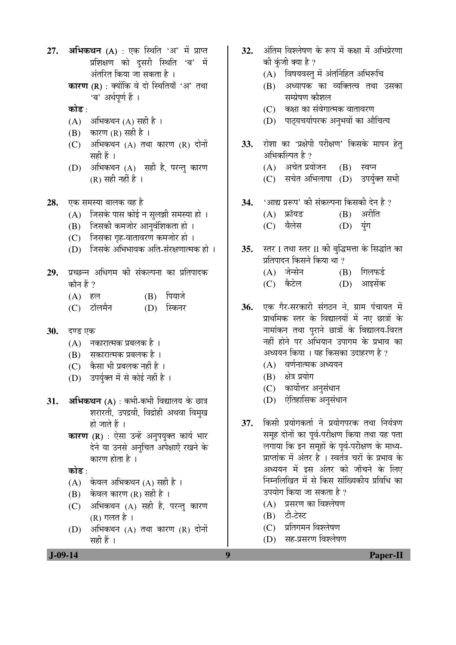- 27. **अभिकथन (A)** : एक स्थिति 'अ' में प्राप्त प्रशिक्षण को दूसरी स्थिति 'ब' में अंतरित किया जा सकता है ।
	- कारण (R) : क्योंकि वे दो स्थितियाँ 'अ' तथा 'ब' अर्थपर्ण हैं ।
	- कोड :
	- (A) अभिकथन (A) सही है ।
	- $(B)$  कारण  $(R)$  सही है।
	- $(C)$  अभिकथन  $(A)$  तथा कारण  $(R)$  दोनों सही हैं ।
	- $(D)$  अभिकथन  $(A)$  सही है, परन्तु कारण (R) सही नहीं है ।
- **28.** एक समस्या बालक वह है
	- $(A)$  जिसके पास कोई न सुलझी समस्या हो ।
	- (B) जिसकी कमजोर आनुवंशिकता हो ।
	- (C) जिसका गृह-वातावरण कमजोर हो ।
	- $(D)$  जिसके अभिभावक अति-संरक्षणात्मक हो ।
- 29. प्रच्छन्न अधिगम की संकल्पना का प्रतिपादक कौन हैं  $\eta$ 
	- (A) हल (B) पियाजे
	- (C) टॉलमैन (D) स्किनर
- **30.** दण्ड एक
	- $(A)$  नकारात्मक प्रबलक है।
	- (B) सकारात्मक प्रबलक है ।
	- $(C)$  कैसा भी प्रबलक नहीं है ।
	- (D) उपर्युक्त में से कोई नहीं है ।
- 31. **अभिकथन** (A) : कभी-कभी विद्यालय के छात्र शरारती, उपद्रवी, विद्रोही अथवा विमुख हो जाते हैं ।
	- **कारण (R)** : ऐसा उन्हें अनुपयुक्त कार्य भार देने या उनसे अनुचित अपेक्षाएँ रखने के कारण होता है $\perp$
	- कोड :
	- $(A)$  केवल अभिकथन  $(A)$  सही है ।
	- $(B)$  केवल कारण  $(R)$  सही है ।
	- (C) अभिकथन (A) सही है, परन्तु कारण (R) गलत है $\perp$
	- $(D)$  अभिकथन  $(A)$  तथा कारण  $(R)$  दोनों सही हैं ।
- 32. अंतिम विश्लेषण के रूप में कक्षा में अभिप्रेरणा की कंजी क्या है ?
	- $(A)$  विषयवस्तु में अंतर्निहित अभिरूचि
	- (B) अध्यापक का व्यक्तित्व तथा उसका सम्प्रेषण कौशल
	- (C) कक्षा का संवेगात्मक वातावरण
	- (D) पाट्यचर्यापरक अनुभवों का औचित्य
- **33.** रोशा का 'प्रक्षेपी परीक्षण' किसके मापन हेतु अभिकल्पित है ?
	- (A) अचेत प्रयोजन (B) स्वप्न
	- (C) सचेत अभिलाषा (D) उपर्युक्त सभी
- **34.** 'आद्य प्ररूप' की संकल्पना किसकी देन है ?
	- $(A)$  फ्रॉयड  $(B)$  अरीति
	- (C) वैलेस (D) यूंग
- **35.** स्तर I तथा स्तर II की बुद्धिमत्ता के सिद्धांत का प्रतिपादन किसने किया था ?
	- (A) जेन्सेन (B) गिलफर्ड (C) कैटेल (D) आइसेंक
- 36. **एक गैर-सरकारी संगठन ने. ग्राम पंचायत** में प्राथमिक स्तर के विद्यालयों में नए छात्रों के नामांकन तथा पुराने छात्रों के विद्यालय-विरत नहीं होने पर अभियान उपागम के प्रभाव का अध्ययन किया । यह किसका उदाहरण है ?
	- $(A)$  वर्णनात्मक अध्ययन
	- $(B)$  क्षेत्र प्रयोग
	- (C) कार्योत्तर अनुसंधान
	- (D) ऐतिहासिक अनुसंधान
- 37. किसी प्रयोगकर्ता ने प्रयोगपरक तथा नियंत्रण समह दोनों का पर्व-परीक्षण किया तथा यह पता लगाया कि इन समूहों के पूर्व-परीक्षण के माध्य-प्राप्तांक में अंतर है । स्वतंत्र चरों के प्रभाव के अध्ययन में इस अंतर को जाँचने के लिए निम्नलिखित में से किस सांख्यिकीय प्रविधि का उपयोग किया जा सकता है ?
	- (A) प्रसरण का विश्लेषण
	- $(B)$   $\overline{c}$   $\overline{c}$   $\overline{c}$
	- $(C)$  प्रतिगमन विश्लेषण
	- (D) सह-प्रसरण विश्लेषण

 **J-09-14** Paper-II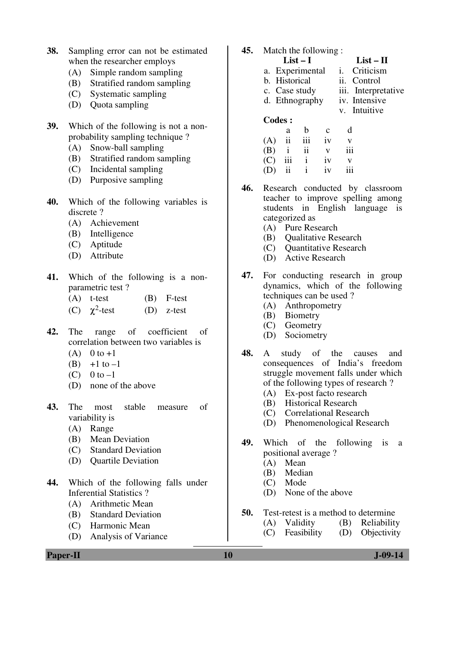- **38.** Sampling error can not be estimated when the researcher employs
	- (A) Simple random sampling
	- (B) Stratified random sampling
	- (C) Systematic sampling
	- (D) Quota sampling
- **39.** Which of the following is not a nonprobability sampling technique ?
	- (A) Snow-ball sampling
	- (B) Stratified random sampling
	- (C) Incidental sampling
	- (D) Purposive sampling
- **40.** Which of the following variables is discrete ?
	- (A) Achievement
	- (B) Intelligence
	- (C) Aptitude
	- (D) Attribute
- **41.** Which of the following is a nonparametric test ?
	- (A) t-test (B) F-test
- (C)  $\chi^2$  $(D)$  z-test
- **42.** The range of coefficient of correlation between two variables is
	- (A)  $0$  to  $+1$
	- (B)  $+1$  to  $-1$
	- (C)  $0$  to  $-1$
	- (D) none of the above
- **43.** The most stable measure of variability is
	- (A) Range
	- (B) Mean Deviation
	- (C) Standard Deviation
	- (D) Quartile Deviation
- **44.** Which of the following falls under Inferential Statistics ?
	- (A) Arithmetic Mean
	- (B) Standard Deviation
	- (C) Harmonic Mean
	- (D) Analysis of Variance
- **45.** Match the following :
	- **List I List II**  a. Experimental i. Criticism b. Historical ii. Control c. Case study iii. Interpretative d. Ethnography iv. Intensive v. Intuitive

#### **Codes :**

|     | a                   | b            | $\mathbf c$ | d   |
|-----|---------------------|--------------|-------------|-----|
| (A) | $\ddot{\mathbf{i}}$ | iii          | iv          | v   |
| (B) | $\mathbf{i}$        | ii           | V           | 111 |
| (C) | iii                 | $\mathbf{i}$ | iv          | V   |
| (D) | ii                  | $\mathbf{i}$ | iv          | iii |

**46.** Research conducted by classroom teacher to improve spelling among students in English language is categorized as

- (A) Pure Research
- (B) Qualitative Research
- (C) Quantitative Research
- (D) Active Research
- **47.** For conducting research in group dynamics, which of the following techniques can be used ?
	- (A) Anthropometry
	- (B) Biometry
	- (C) Geometry
	- (D) Sociometry
- **48.** A study of the causes and consequences of India's freedom struggle movement falls under which of the following types of research ?
	- (A) Ex-post facto research
	- (B) Historical Research
	- (C) Correlational Research
	- (D) Phenomenological Research
- **49.** Which of the following is a positional average ?
	- (A) Mean
	- (B) Median
	- (C) Mode
	- (D) None of the above
- **50.** Test-retest is a method to determine
	- (A) Validity (B) Reliability
	- (C) Feasibility (D) Objectivity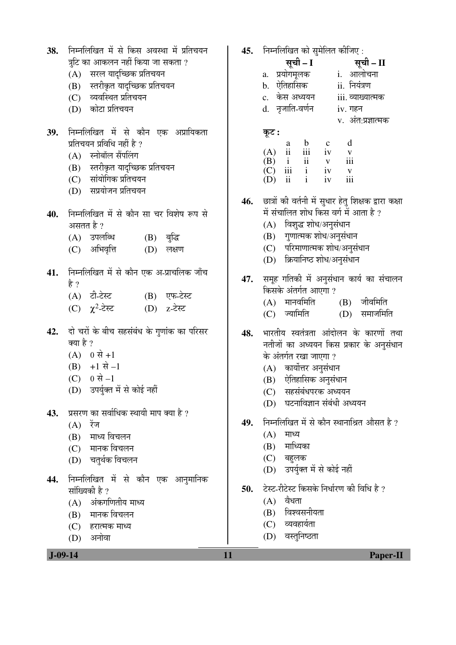| 38. निम्नलिखित में से किस अवस्था में प्रतिचयन |
|-----------------------------------------------|
| त्रुटि का आकलन नहीं किया जा सकता ?            |

- (A) सरल यादच्छिक प्रतिचयन
- (B) स्तरीकृत यादृच्छिक प्रतिचयन
- (C) व्यवस्थित प्रतिचयन
- (D) कोटा प्रतिचयन
- 39. निम्नलिखित में से कौन एक अप्रायिकता प्रतिचयन प्रविधि नहीं है ?
	- $(A)$  स्नोबॉल सैंपलिंग
	- (B) स्तरीकृत यादच्छिक प्रतिचयन
	- (C) सांयोगिक प्रतिचयन
	- $(D)$  सप्रयोजन प्रतिचयन
- 40. ਜਿਸ लिखित में से कौन सा चर विशेष रूप से असतत है ?
	- (A) उपलब्धि (B) बुद्धि
	- (C) अभिवृत्ति (D) लक्षण
- 41. निम्नलिखित में से कौन एक अ-प्राचलिक जाँच हे ?
	- (A) टी-टेस्ट (B) एफ-टेस्ट
- (C)  $\chi^2$  $(D)$  z-टेस्ट
- 42. ai चरों के बीच सहसंबंध के गणांक का परिसर क्या है ?
	- $(A) 0 \nleftrightarrow +1$
	- $(B) +1 \vec{A} -1$
	- $(C) 0 \nexists -1$
	- (D) उपर्युक्त में से कोई नहीं
- 43. प्रसरण का सर्वाधिक स्थायी माप क्या है ?
	- $(A)$  रेंज
	- (B) माध्य विचलन
	- (C) मानक विचलन
	- (D) चतुर्थक विचलन
- **44.** निम्नलिखित में से कौन एक आनुमानिक सांख्यिकी है ?
	- $(A)$  अंकगणितीय माध्य
	- (B) मानक विचलन
	- (C) हरात्मक माध्य
	- (D) अनोवा
- 45. निम्नलिखित को सुमेलित कीजिए :
- ÃÖæ"Öß **I** ÃÖæ"Öß **II**  a. प्रयोगमुलक b. ऐतिहासिक ii. नियंत्रण c. ÛêúÃÖ †¬µÖµÖ®Ö iii. ¾µÖÖܵÖÖŸ´ÖÛú d. नृजाति-वर्णन iv. गहन v. अंत:प्रज्ञात्मक कूट : a b c d  $(A)$  ii iii iv v  $(B)$  i ii  $v$  iii
	- $\begin{array}{ccc} \text{(C)} & \text{iii} & \text{i} & \text{iv} & \text{v} \\ \text{(D)} & \text{ii} & \text{i} & \text{iv} & \text{iii} \end{array}$  $(D)$  ii i iv
- 46. छात्रों की वर्तनी में सुधार हेतु शिक्षक द्वारा कक्षा में संचालित शोध किस वर्ग में आता है ?
	- $(A)$  विशुद्ध शोध/अनुसंधान
	- (B) गुणात्मक शोध/अनुसंधान
	- (C) परिमाणात्मक शोध/अनुसंधान
	- (D) क्रियानिष्ठ शोध/अनुसंधान
- 47. समूह गतिकी में अनुसंधान कार्य का संचालन किसके अंतर्गत आएगा ?
	- $(A)$  मानवमिति  $(B)$  जीवमिति
	- (C) ज्यामिति (D) समाजमिति
- **48.** भारतीय स्वतंत्रता आंदोलन के कारणों तथा नतीजों का अध्ययन किस प्रकार के अनुसंधान के अंतर्गत रखा जाएगा ?
	- $(A)$  कार्योत्तर अनुसंधान
	- $(B)$  ऐतिहासिक अनुसंधान
	- $(C)$  सहसंबंधपरक अध्ययन
	- (D) घटनाविज्ञान संबंधी अध्ययन
- 49. निम्नलिखित में से कौन स्थानाश्रित औसत है ?
	- $(A)$  माध्य
	- $(B)$  माध्यिका
	- (C) बहुलक
	- (D) उपर्युक्त में से कोई नहीं
- 50. Žस्ट-रीटेस्ट किसके निर्धारण की विधि है ?
	- $(A)$  वैधता
	- $(B)$  विश्वसनीयता
	- $(C)$  व्यवहार्यता
	- (D) वस्तुनिष्ठता

 **J-09-14 11 Paper-II**